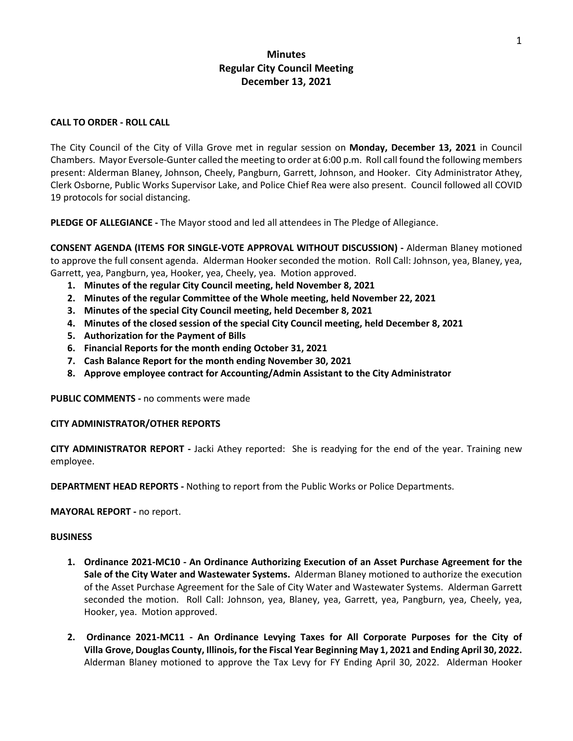# **Minutes Regular City Council Meeting December 13, 2021**

#### **CALL TO ORDER - ROLL CALL**

The City Council of the City of Villa Grove met in regular session on **Monday, December 13, 2021** in Council Chambers. Mayor Eversole-Gunter called the meeting to order at 6:00 p.m. Roll call found the following members present: Alderman Blaney, Johnson, Cheely, Pangburn, Garrett, Johnson, and Hooker. City Administrator Athey, Clerk Osborne, Public Works Supervisor Lake, and Police Chief Rea were also present. Council followed all COVID 19 protocols for social distancing.

**PLEDGE OF ALLEGIANCE -** The Mayor stood and led all attendees in The Pledge of Allegiance.

**CONSENT AGENDA (ITEMS FOR SINGLE-VOTE APPROVAL WITHOUT DISCUSSION) -** Alderman Blaney motioned to approve the full consent agenda. Alderman Hooker seconded the motion. Roll Call: Johnson, yea, Blaney, yea, Garrett, yea, Pangburn, yea, Hooker, yea, Cheely, yea. Motion approved.

- **1. Minutes of the regular City Council meeting, held November 8, 2021**
- **2. Minutes of the regular Committee of the Whole meeting, held November 22, 2021**
- **3. Minutes of the special City Council meeting, held December 8, 2021**
- **4. Minutes of the closed session of the special City Council meeting, held December 8, 2021**
- **5. Authorization for the Payment of Bills**
- **6. Financial Reports for the month ending October 31, 2021**
- **7. Cash Balance Report for the month ending November 30, 2021**
- **8. Approve employee contract for Accounting/Admin Assistant to the City Administrator**

**PUBLIC COMMENTS -** no comments were made

### **CITY ADMINISTRATOR/OTHER REPORTS**

**CITY ADMINISTRATOR REPORT -** Jacki Athey reported: She is readying for the end of the year. Training new employee.

**DEPARTMENT HEAD REPORTS -** Nothing to report from the Public Works or Police Departments.

**MAYORAL REPORT -** no report.

#### **BUSINESS**

- **1. Ordinance 2021-MC10 - An Ordinance Authorizing Execution of an Asset Purchase Agreement for the Sale of the City Water and Wastewater Systems.** Alderman Blaney motioned to authorize the execution of the Asset Purchase Agreement for the Sale of City Water and Wastewater Systems. Alderman Garrett seconded the motion. Roll Call: Johnson, yea, Blaney, yea, Garrett, yea, Pangburn, yea, Cheely, yea, Hooker, yea. Motion approved.
- **2. Ordinance 2021-MC11 - An Ordinance Levying Taxes for All Corporate Purposes for the City of Villa Grove, Douglas County, Illinois, for the Fiscal Year Beginning May 1, 2021 and Ending April 30, 2022.**  Alderman Blaney motioned to approve the Tax Levy for FY Ending April 30, 2022. Alderman Hooker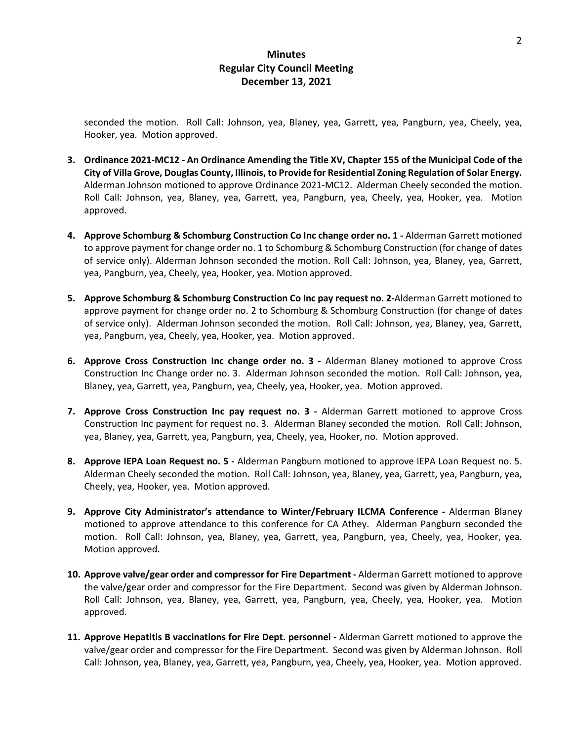## **Minutes Regular City Council Meeting December 13, 2021**

seconded the motion. Roll Call: Johnson, yea, Blaney, yea, Garrett, yea, Pangburn, yea, Cheely, yea, Hooker, yea. Motion approved.

- **3. Ordinance 2021-MC12 - An Ordinance Amending the Title XV, Chapter 155 of the Municipal Code of the City of Villa Grove, Douglas County, Illinois, to Provide for Residential Zoning Regulation of Solar Energy.**  Alderman Johnson motioned to approve Ordinance 2021-MC12. Alderman Cheely seconded the motion. Roll Call: Johnson, yea, Blaney, yea, Garrett, yea, Pangburn, yea, Cheely, yea, Hooker, yea. Motion approved.
- **4. Approve Schomburg & Schomburg Construction Co Inc change order no. 1 -** Alderman Garrett motioned to approve payment for change order no. 1 to Schomburg & Schomburg Construction (for change of dates of service only). Alderman Johnson seconded the motion. Roll Call: Johnson, yea, Blaney, yea, Garrett, yea, Pangburn, yea, Cheely, yea, Hooker, yea. Motion approved.
- **5. Approve Schomburg & Schomburg Construction Co Inc pay request no. 2-**Alderman Garrett motioned to approve payment for change order no. 2 to Schomburg & Schomburg Construction (for change of dates of service only). Alderman Johnson seconded the motion. Roll Call: Johnson, yea, Blaney, yea, Garrett, yea, Pangburn, yea, Cheely, yea, Hooker, yea. Motion approved.
- **6. Approve Cross Construction Inc change order no. 3 -** Alderman Blaney motioned to approve Cross Construction Inc Change order no. 3. Alderman Johnson seconded the motion. Roll Call: Johnson, yea, Blaney, yea, Garrett, yea, Pangburn, yea, Cheely, yea, Hooker, yea. Motion approved.
- **7. Approve Cross Construction Inc pay request no. 3 -** Alderman Garrett motioned to approve Cross Construction Inc payment for request no. 3. Alderman Blaney seconded the motion. Roll Call: Johnson, yea, Blaney, yea, Garrett, yea, Pangburn, yea, Cheely, yea, Hooker, no. Motion approved.
- **8. Approve IEPA Loan Request no. 5 -** Alderman Pangburn motioned to approve IEPA Loan Request no. 5. Alderman Cheely seconded the motion. Roll Call: Johnson, yea, Blaney, yea, Garrett, yea, Pangburn, yea, Cheely, yea, Hooker, yea. Motion approved.
- **9. Approve City Administrator's attendance to Winter/February ILCMA Conference -** Alderman Blaney motioned to approve attendance to this conference for CA Athey. Alderman Pangburn seconded the motion. Roll Call: Johnson, yea, Blaney, yea, Garrett, yea, Pangburn, yea, Cheely, yea, Hooker, yea. Motion approved.
- **10. Approve valve/gear order and compressor for Fire Department -** Alderman Garrett motioned to approve the valve/gear order and compressor for the Fire Department. Second was given by Alderman Johnson. Roll Call: Johnson, yea, Blaney, yea, Garrett, yea, Pangburn, yea, Cheely, yea, Hooker, yea. Motion approved.
- **11. Approve Hepatitis B vaccinations for Fire Dept. personnel -** Alderman Garrett motioned to approve the valve/gear order and compressor for the Fire Department. Second was given by Alderman Johnson. Roll Call: Johnson, yea, Blaney, yea, Garrett, yea, Pangburn, yea, Cheely, yea, Hooker, yea. Motion approved.